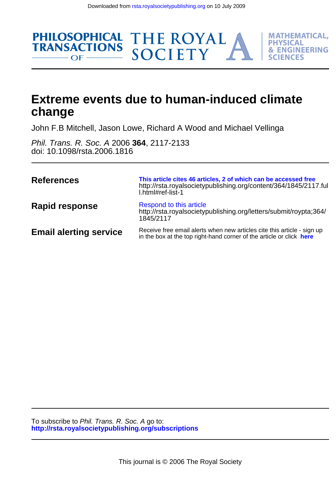THE ROYAL<br>SOCIETY

**MATHEMATICAL. PHYSICAL** 

**& ENGINEERING** 

**SCIENCES** 



John F.B Mitchell, Jason Lowe, Richard A Wood and Michael Vellinga

doi: 10.1098/rsta.2006.1816 Phil. Trans. R. Soc. A 2006 **364**, 2117-2133

**PHILOSOPHICAL** 

**TRANSACTIONS** 

 $OF$  —

| <b>References</b>             | This article cites 46 articles, 2 of which can be accessed free<br>http://rsta.royalsocietypublishing.org/content/364/1845/2117.ful<br>1.html#ref-list-1 |
|-------------------------------|----------------------------------------------------------------------------------------------------------------------------------------------------------|
| Rapid response                | Respond to this article<br>http://rsta.royalsocietypublishing.org/letters/submit/roypta;364/<br>1845/2117                                                |
| <b>Email alerting service</b> | Receive free email alerts when new articles cite this article - sign up<br>in the box at the top right-hand corner of the article or click here          |

**<http://rsta.royalsocietypublishing.org/subscriptions>** To subscribe to Phil. Trans. R. Soc. A go to: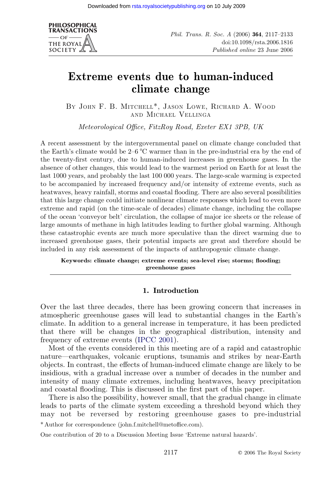

Phil. Trans. R. Soc. A (2006) 364, 2117–2133 doi:10.1098/rsta.2006.1816 Published online 23 June 2006

# Extreme events due to human-induced climate change

BY JOHN F. B. MITCHELL\*, JASON LOWE, RICHARD A. WOOD AND MICHAEL VELLINGA

Meteorological Office, FitzRoy Road, Exeter EX1 3PB, UK

A recent assessment by the intergovernmental panel on climate change concluded that the Earth's climate would be  $2-6$  °C warmer than in the pre-industrial era by the end of the twenty-first century, due to human-induced increases in greenhouse gases. In the absence of other changes, this would lead to the warmest period on Earth for at least the last 1000 years, and probably the last 100 000 years. The large-scale warming is expected to be accompanied by increased frequency and/or intensity of extreme events, such as heatwaves, heavy rainfall, storms and coastal flooding. There are also several possibilities that this large change could initiate nonlinear climate responses which lead to even more extreme and rapid (on the time-scale of decades) climate change, including the collapse of the ocean 'conveyor belt' circulation, the collapse of major ice sheets or the release of large amounts of methane in high latitudes leading to further global warming. Although these catastrophic events are much more speculative than the direct warming due to increased greenhouse gases, their potential impacts are great and therefore should be included in any risk assessment of the impacts of anthropogenic climate change.

Keywords: climate change; extreme events; sea-level rise; storms; flooding; greenhouse gases

## 1. Introduction

Over the last three decades, there has been growing concern that increases in atmospheric greenhouse gases will lead to substantial changes in the Earth's climate. In addition to a general increase in temperature, it has been predicted that there will be changes in the geographical distribution, intensity and frequency of extreme events (IPCC 2001).

Most of the events considered in this meeting are of a rapid and catastrophic nature—earthquakes, volcanic eruptions, tsunamis and strikes by near-Earth objects. In contrast, the effects of human-induced climate change are likely to be insidious, with a gradual increase over a number of decades in the number and intensity of many climate extremes, including heatwaves, heavy precipitation and coastal flooding. This is discussed in the first part of this paper.

There is also the possibility, however small, that the gradual change in climate leads to parts of the climate system exceeding a threshold beyond which they may not be reversed by restoring greenhouse gases to pre-industrial

\* Author for correspondence (john.f.mitchell@metoffice.com).

One contribution of 20 to a Discussion Meeting Issue 'Extreme natural hazards'.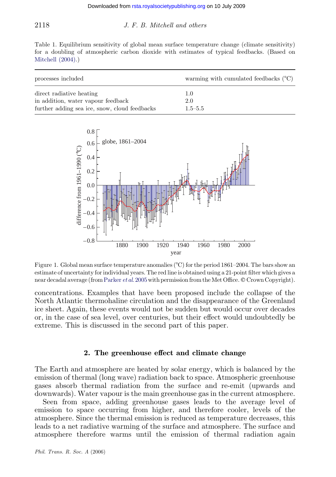#### <span id="page-2-0"></span>2118 J. F. B. Mitchell and others

Table 1. Equilibrium sensitivity of global mean surface temperature change (climate sensitivity) for a doubling of atmospheric carbon dioxide with estimates of typical feedbacks. (Based on Mitchell (2004).)

| processes included                            | warming with cumulated feedbacks $(°C)$ |
|-----------------------------------------------|-----------------------------------------|
| direct radiative heating                      | 1.0                                     |
| in addition, water vapour feedback            | 2.0                                     |
| further adding sea ice, snow, cloud feedbacks | $1.5 - 5.5$                             |



Figure 1. Global mean surface temperature anomalies  $\binom{8}{0}$  for the period 1861–2004. The bars show an estimate of uncertainty for individual years. The red line is obtained using a 21-point filter which gives a near decadal average (from Parker *et al.* 2005 with permission from the Met Office.  $\circ$  Crown Copyright).

concentrations. Examples that have been proposed include the collapse of the North Atlantic thermohaline circulation and the disappearance of the Greenland ice sheet. Again, these events would not be sudden but would occur over decades or, in the case of sea level, over centuries, but their effect would undoubtedly be extreme. This is discussed in the second part of this paper.

## 2. The greenhouse effect and climate change

The Earth and atmosphere are heated by solar energy, which is balanced by the emission of thermal (long wave) radiation back to space. Atmospheric greenhouse gases absorb thermal radiation from the surface and re-emit (upwards and downwards). Water vapour is the main greenhouse gas in the current atmosphere.

Seen from space, adding greenhouse gases leads to the average level of emission to space occurring from higher, and therefore cooler, levels of the atmosphere. Since the thermal emission is reduced as temperature decreases, this leads to a net radiative warming of the surface and atmosphere. The surface and atmosphere therefore warms until the emission of thermal radiation again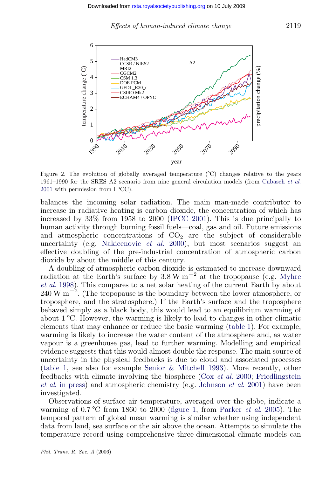<span id="page-3-0"></span>

Figure 2. The evolution of globally averaged temperature  $(°C)$  changes relative to the years 1961–1990 for the SR[ES A2 scenario from nine gener](#page-16-0)al circulation models (from Cubasch et al. 2001 with permission from IPCC).

balances the incoming solar radiation. The main man-made contributor to increase in radiative heating is carbon dioxide, the concentration of whi[ch has](#page-16-0) [increased](#page-16-0) by 33% from 1958 to 2000 (IPCC 2001). This is due principally to human activity through burning fossil fuels—coal, gas and oil. Future emissions and atmospheric concentrations of  $CO<sub>2</sub>$  are the subject of considerable uncertainty (e.g. Nakicenovic *et al.* 2000), but most scenarios suggest an effective doubling of the pre-industrial concentration of atmospheric carbon dioxide by about the middle of this century.

A doubling of atmospheric carbon dioxide is estimated [to](#page-2-0) [incr](#page-2-0)ease downward radiation at the Earth's surface by  $3.8 \text{ W m}^{-2}$  at the tropopause (e.g. Myhre et al. 1998). This compares to a net solar heating of the current Earth by about  $240 \text{ W m}^{-2}$ . (The tropopause is the boundary between the lower atmosphere, or [troposph](#page-2-0)ere, and the stratosph[ere.\) If the Earth's surfa](#page-17-0)ce and the troposphere behaved simply as a black body, this would lea[d to an equilibrium warming of](#page-15-0) about  $1 \, \text{°C}$ . However, the warming is likely to l[ead to changes in oth](#page-16-0)er climatic [elements](#page-15-0) [that](#page-15-0) may enhance or reduce the basic warming (table 1). For example, warming is likely to increase the water content of the atmosphere and, as water vapour is a greenhouse gas, lead to fur[ther wa](#page-2-0)rming. [Modelling and em](#page-16-0)pirical evidence suggests that this would almost double the response. The main source of uncertainty in the physical feedbacks is due to cloud and associated processes (table 1, see also for example Senior & Mitchell 1993). More recently, other feedbacks with climate involving the biosphere ( $\cos \theta$  et al. 2000; Friedlingstein et al. in press) and atmospheric chemistry (e.g. Johnson et al. 2001) have been investigated.

Observations of surface air temperature, averaged over the globe, indicate a warming of 0.7 °C from 1860 to 2000 (figure 1, from Parker *et al.* 2005). The temporal pattern of global mean warming is similar whether using independent data from land, sea surface or the air above the ocean. Attempts to simulate the temperature record using comprehensive three-dimensional climate models can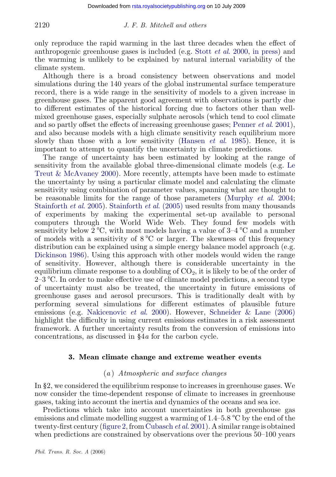## 2120 J. F. B. Mitchell and others

only reproduce the rapid warming in the last three decades when the effect of anthropogenic greenhouse gases is included (e.g. Stott et al. 2000, in press) and the warming is unlikely to be explained by natural intern[al variability of th](#page-16-0)e climate system.

Although there is a broad consistency [between observatio](#page-15-0)ns and model simulations during the 140 years of the global instrumental surface temperature record, there is a wide range in the sensitivity of models to a given increase in greenhouse gases. The apparent good agreement with observations is partly [due](#page-16-0) [to different estimates of](#page-16-0) the historical forcing due to factors other than wellmixed greenhouse gases, especially sulphate aerosols (which tend to cool climate and so partly offset the effects of increasing greenhouse gases; Penner *et al.* 2001), and also because models with a high climate sensitivity re[ach equilibrium more](#page-16-0) [slowly than those w](#page-17-0)it[h a low sensitivity \(H](#page-17-0)ansen *et al.* 1985). Hence, it is important to attempt to quantify the uncertainty in climate predictions.

The range of uncertainty has been estimated by looking at the range of sensitivity from the available global three-dimensional climate models (e.g. Le Treut & McAvaney 2000). More recently, attempts have been made to estimate the uncertainty by using a particular climate model and calculating the climate [sensitivity using](#page-15-0) combination of parameter values, spanning what are thought to be reasonable limits for the range of those parameters (Murphy et al. 2004; Stainforth *et al.* 2005). Stainforth *et al.* (2005) used results from many thousands of experiments by making the experimental set-up available to personal computers through the World Wide Web. They found few models with sensitivity below 2  $\degree{\rm C}$ , with most models having a value of 3–4  $\degree{\rm C}$  and a number of models with a sensitivity of  $8^{\circ}$ C or larger. The skewness of this frequency distribution can [be explained using a sim](#page-16-0)ple energy ba[lance model approach \(e.g.](#page-17-0) Dickinson 1986). Using this approach with other models would widen the range of sensitivity. However, although there is considerable uncertainty in the equilibrium climate response to a doubling of  $CO<sub>2</sub>$ , it is likely to be of the order of  $2-3$  °C. In order to make effective use of climate model predictions, a second type of uncertainty must also be treated, the uncertainty in future emissions of greenhouse gases and aerosol precursors. This is traditionally dealt with by performing several simulations for different estimates of plausible future emissions (e.g. Nakicenovic *et al.* 2000). However, Schneider & Lane (2006) highlight the difficulty in using current emissions estimates in a risk assessment framework. A further uncertainty results from the conversion of emissions into concentrations, as discussed in §4a for the carbon cycle.

## 3. Mean [climate](#page-3-0) cha[nge](#page-15-0) [and](#page-15-0) [extreme](#page-15-0) weather events

## (a ) Atmospheric and surface changes

In §2, we considered the equilibrium response to increases in greenhouse gases. We now consider the time-dependent response of climate to increases in greenhouse gases, taking into account the inertia and dynamics of the oceans and sea ice.

Predictions which take into account uncertainties in both greenhouse gas emissions and climate modelling suggest a warming of  $1.4-5.8$  °C by the end of the twenty-first century (figure 2, from Cubasch *et al.* 2001). A similar range is obtained when predictions are constrained by observations over the previous 50–100 years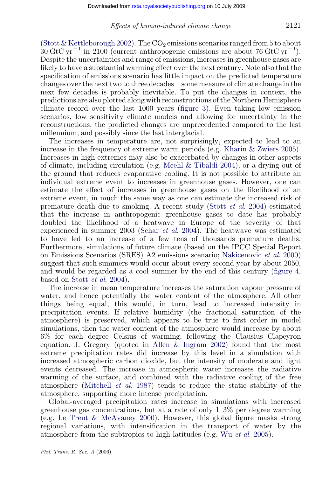(Stott & Kettleborough 2002). The  $CO_2$  emi[ssions sce](#page-6-0)narios ranged from 5 to about  $30 \text{ GtC yr}^{-1}$  in 2100 (current anthropogenic emissions are about 76 GtC yr<sup>-1</sup>). Despite the uncertainties and range of emissions, increases in greenhouse gases are likely to have a substantial warming effect over the next century. Note also that the specification of emissions scenario has little impact on the predicted temperature changes over the next two to three decades—some measur[e of climate change in th](#page-16-0)e next few decades is probably inevitable. To put the changes in context, the predictions are also plotted along with [reconstructions of the N](#page-16-0)orthern Hemisphere climate record over the last 1000 years (figure 3). Even taking low emission scenarios, low sensitivity climate models and allowing for uncertainty in the reconstructions, the predicted changes are unprecedented compared to the last millennium, and possibly since the last interglacial.

The increases in temperature are, not surprisin[gly, expected to](#page-17-0) lead to an increase in the frequency of extreme warm periods (e.g. Kharin & Zwiers 2005). Increases in high extremes may also be exacerbated by changes in other aspects of climate, including circulation (e.g. [Meehl & T](#page-17-0)ibaldi 2004), or a drying out of the ground that reduces evaporative cooling. It is not possible to attribute an individual extreme event to increases in greenhouse gases. However, one can estimate the effect of increases in greenhouse gases [on the likelihood of an](#page-16-0) extreme event, in much the same way as one can estimate the increased risk of premature death due to smoking. A recent study (Stott et al. 2004) e[stimated](#page-7-0) that the [increase in ant](#page-17-0)hropogenic greenhouse gases to date has probably doubled the likelihood of a heatwave in Europe of the severity of that experienced in summer 2003 (Schar et al. 2004). The heatwave was estimated to have led to an increase of a few tens of thousands premature deaths. Furthermore, simulations of future climate (based on the IPCC Special Report on Emissions Scenarios (SRES) A2 emissions scenario; Nakicenovic et al. 2000) suggest that such summers would occur about every second year by about 2050, and would be regarded as a cool summer by the end of this century (figure 4, based on Stott et al. 2004).

The increase in mean temperat[ure](#page-15-0) [increases](#page-15-0) [the](#page-15-0) [satura](#page-15-0)tion vapour pressure of water, and hence potentially the water content of the atmosphere. All other things being equal, this would, in turn, lead to increased intensity in precipitation events. If relative humidity (the fractional saturation of the atmosphere) [is preserved, which](#page-16-0) appears to be true to first order in model simulations, then the water content of the atmosphere would increase by about 6% for each degree Celsius of warming, following the Clausius Clapeyron equation. J. Gregory (quoted in Allen & Ingram 2002) found that the most extre[me precipitation rates did in](#page-16-0)crease by this level in a simulation with increased atmospheric carbon dioxide, but the intensity of moderate and light events decreased. The increase in atmospheric wate[r increases the](#page-17-0) radiative warming of the surface, and combined with the radiative cooling of the free atmosphere (Mitchell et al. 1987) tends to reduce the static stability of the atmosphere, supporting more intense precipitation.

Global-averaged precipitation rates increase in simulations with increased greenhouse gas concentrations, but at a rate of only  $1-3\%$  per degree warming (e.g. Le Treut & McAvaney 2000). However, this global figure masks strong regional variations, with intensification in the transport of water by the atmosphere from the subtropics to high latitudes (e.g. Wu et al. 2005).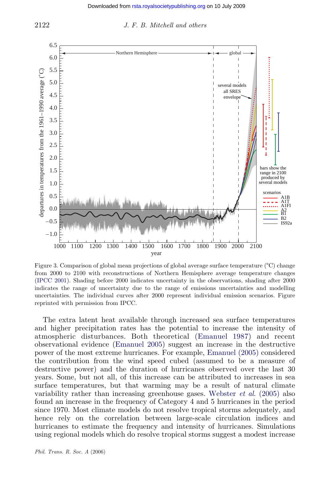

<span id="page-6-0"></span>2122 J. F. B. Mitchell and others

Figure 3. Comparison of global mean projections of global average surface temperature  $(\degree C)$  change from 2000 to 2100 with reconstructions of Northern Hemi[sphere average tem](#page-15-0)perature changes (IPCC 2001). Shading before [2000 indicates un](#page-15-0)certainty in the observations, shading after 2000 indicates the range of uncertainty due to the range of emissi[ons uncertainties a](#page-15-0)nd modelling uncertainties. The individual curves after 2000 represent individual emission scenarios. Figure reprinted with permission from IPCC.

The extra latent heat available through increased sea surface temperatures and higher precipitation rates has the potential t[o increase the intensit](#page-17-0)y of atmospheric disturbances. Both theoretical (Emanuel 1987) and recent observational evidence (Emanuel 2005) suggest an increase in the destructive power of the most extreme hurricanes. For example, Emanuel (2005) considered the contribution from the wind speed cubed (assumed to be a measure of destructive power) and the duration of hurricanes observed over the last 30 years. Some, but not all, of this increase can be attributed to increases in sea surface temperatures, but that warming may be a result of natural climate variability rather than increasing greenhouse gases. Webster *et al.* (2005) also found an increase in the frequency of Category 4 and 5 hurricanes in the period since 1970. Most climate models do not resolve tropical storms adequately, and hence rely on the correlation between large-scale circulation indices and hurricanes to estimate the frequency and intensity of hurricanes. Simulations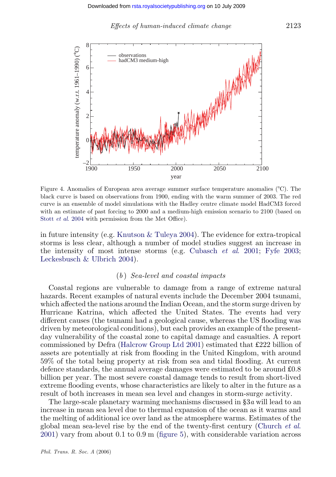

<span id="page-7-0"></span>

Figure 4. Anomalies of European area average summer [surface temperature anom](#page-15-0)alies  $(°C)$ . The [black curve is based on observation](#page-16-0)s from 1900, ending with the warm summer of 2003. The red curve is an ensemble of model simulations with the Hadley centre climate model HadCM3 forced with an estimate of past forcing to 2000 and a medium-high emission scenario to 2100 (based on Stott *et al.* 2004 with permission from the Met Office).

in future intensity (e.g. Knutson & Tuleya 2004). The evidence for extra-tropical storms is less clear, although a number of model studies suggest an increase in the intensity of most intense storms (e.g. Cubasch et al. 2001; Fyfe 2003; Leckesbusch & Ulbrich 2004).

## (b ) Sea-level and coastal impacts

Coastal regions are v[ulnerable](#page-15-0) [to](#page-15-0) [damage](#page-15-0) [from](#page-15-0) a range of extreme natural hazards. Recent examples of natural events include the December 2004 tsunami, which affected the nations around the Indian Ocean, and the storm surge driven by Hurricane Katrina, which affected the United States. The events had very different causes (the tsunami had a geological cause, whereas the US flooding was driven by meteorological conditions), but each provides an example of the presentday vulnerability of the coastal zone to capital damage and casualties. A report commissioned by Defra (Halcrow Group Ltd 2001) estimated that £222 billion of assets are potentially at risk from flooding in the United Kingdom, with around 59% of the total being property at risk from sea and tidal floodin[g. At current](#page-15-0) [defen](#page-15-0)ce standards, the annual avera[ge damag](#page-10-0)es were estimated to be around £0.8 billion per year. The most severe coastal damage tends to result from short-lived extreme flooding events, whose characteristics are likely to alter in the future as a result of both increases in mean sea level and changes in storm-surge activity.

The large-scale planetary warming mechanisms discussed in §3a will lead to an increase in mean sea level due to thermal expansion of the ocean as it warms and the melting of additional ice over land as the atmosphere warms. Estimates of the global mean sea-level rise by the end of the twenty-first century (Church et al. 2001) vary from about 0.1 to 0.9 m (figure 5), with considerable variation across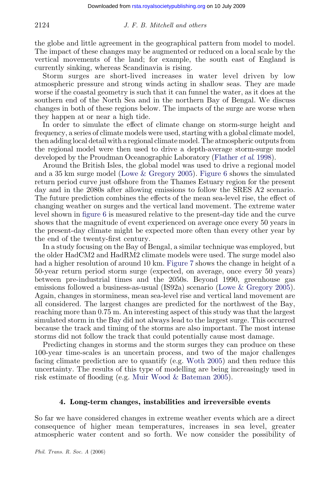## 2124 J. F. B. Mitchell and others

the globe and little agreement in the geographical pattern from model to model. The impact of these changes may be augmented or reduced on a local scale by the vertical movements of the land; for example, the south east of England is currently sinking, whereas Scandinavia is rising.

Storm surges are short-lived increases in water level driven by low atmospheric pressure and strong winds acting in shallow seas. They are made worse if the coastal geometry is such that it can funnel t[he water, as it doe](#page-15-0)s at the southern end of the North Sea and in the northern Bay of Bengal. We discuss changes in both of these re[gions below. The impa](#page-16-0)c[ts of the s](#page-11-0)urge are worse when they happen at or near a high tide.

In order to simulate the effect of climate change on storm-surge height and frequency, a series of climate models were used, starting with a global climate model, then adding local detail with a regional climate model. The atmospheric outputs from the regional [model we](#page-11-0)re then used to drive a depth-average storm-surge model developed by the Proudman Oceanographic Laboratory (Flather et al. 1998).

Around the British Isles, the global model was used to drive a regional model and a 35 km surge model (Lowe & Gregory 2005). Figure 6 shows the simulated return period curve just offshore from the Thames Estuary region for the present day and in the 2080s after allowing emissions to follow the SRES A2 scenario. The future prediction combines the effec[ts of the m](#page-11-0)ean sea-level rise, the effect of changing weather on surges and the vertical land movement. The extreme water level shown in figure 6 is measured relative to the present-day tide and the curve shows that the magnitude of event experienced on avera[ge once every 50 years i](#page-16-0)n the present-day climate might be expected more often than every other year by the end of the twenty-first century.

In a study focusing on the Bay of Bengal, a similar technique was employed, but the older HadCM2 and HadRM2 climate models were used. The surge model also had a higher resolution of around 10 km. Figure 7 shows the change in height of a 50-year return period storm surge (expected, on average, once every 50 years) between pre-industrial times and the 2050s. Beyond 1990, greenhouse gas emissions followed a business-as-usual (IS92a) scenario (Lowe & Gregory 2005). Again, changes in storminess, mean sea-level ri[se and verti](#page-17-0)cal land movement are all considered. The largest changes are predicted for the northwest of the Bay, reaching more than 0.75 m. A[n interesting aspect of this study](#page-16-0) was that the largest simulated storm in the Bay did not always lead to the largest surge. This occurred because the track and timing of the storms are also important. The most intense storms did not follow the track that could potentially cause most damage.

Predicting changes in storms and the storm surges they can produce on these 100-year time-scales is an uncertain process, and two of the major challenges facing climate prediction are to quantify (e.g. Woth 2005) and then reduce this uncertainty. The results of this type of modelling are being increasingly used in risk estimate of flooding (e.g. Muir Wood & Bateman 2005).

## 4. Long-term changes, instabilities and irreversible events

So far we have considered changes in extreme weather events which are a direct consequence of higher mean temperatures, increases in sea level, greater atmospheric water content and so forth. We now consider the possibility of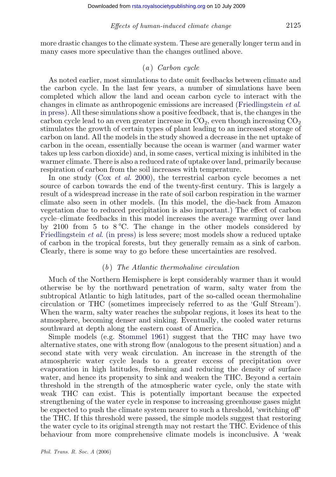more drastic changes to the climate system. These are generall[y longer term and in](#page-15-0) [many ca](#page-15-0)ses more speculative than the changes outlined above.

## (a ) Carbon cycle

As noted earlier, most simulations to date omit feedbacks between climate and the carbon cycle. In the last few years, a number of simulations have been completed which allow the land and ocean carbon cycle to interact with the changes in climate as anthropogenic emissions are increased (Friedlingstein et al. in press). All thes[e simulations show](#page-15-0) a positive feedback, that is, the changes in the carbon cycle lead to an even greater increase in  $CO_2$ , even though increasing  $CO_2$ stimulates the growth of certain types of plant leading to an increased storage of carbon on land. All the models in the study showed a decrease in the net uptake of carbon in the ocean, essentially because the ocean is warmer (and warmer water takes up less carbon dioxide) and, in some cases, vertical mixing is inhibited in the warmer climate. There is also a reduced rate of uptake over land, primarily because [respiration of carbon from the](#page-15-0) soil increases with temperature.

In one study (Cox *et al.* 2000), the terrestrial carbon cycle becomes a net source of carbon towards the end of the twenty-first century. This is largely a result of a widespread increase in the rate of soil carbon respiration in the warmer climate also seen in other models. (In this model, the die-back from Amazon vegetation due to reduced precipitation is also important.) The effect of carbon cycle–climate feedbacks in this model increases the average warming over land by 2100 from 5 to  $8^{\circ}$ C. The change in the other models considered by Friedlingstein et al. (in press) is less severe; most models show a reduced uptake of carbon in the tropical forests, but they generally remain as a sink of carbon. Clearly, there is some way to go before these uncertainties are resolved.

#### (b ) The Atlantic thermohaline circulation

Much of the Norther[n](#page-17-0) [Hemisphere](#page-17-0) [is](#page-17-0) kept considerably warmer than it would otherwise be by the northward penetration of warm, salty water from the subtropical Atlantic to high latitudes, part of the so-called ocean thermohaline circulation or THC (sometimes imprecisely referred to as the 'Gulf Stream'). When the warm, salty water reaches the subpolar regions, it loses its heat to the atmosphere, becoming denser and sinking. Eventually, the cooled water returns southward at depth along the eastern coast of America.

Simple models (e.g. Stommel 1961) suggest that the THC may have two alternative states, one with strong flow (analogous to the present situation) and a second state with very weak circulation. An increase in the strength of the atmospheric water cycle leads to a greater excess of precipitation over evaporation in high latitudes, freshening and reducing the density of surface water, and hence its propensity to sink and weaken the THC. Beyond a certain threshold in the strength of the atmospheric water cycle, only the state with weak THC can exist. This is potentially important because the expected strengthening of the water cycle in response to increasing greenhouse gases might be expected to push the climate system nearer to such a threshold, 'switching off' the THC. If this threshold were passed, the simple models suggest that restoring the water cycle to its original strength may not restart the THC. Evidence of this behaviour from more comprehensive climate models is inconclusive. A 'weak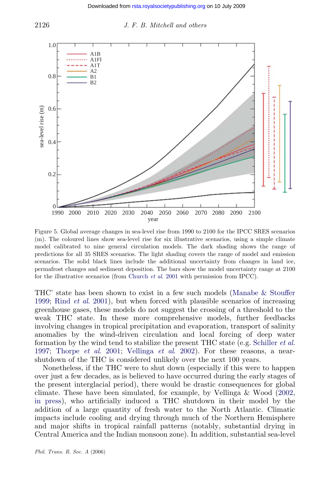

<span id="page-10-0"></span>2126 J. F. B. Mitchell and others

Figure 5. Global average changes in sea-level rise from 1990 to 2100 for t[he IPCC SRES scenarios](#page-16-0) [\(m\). T](#page-16-0)[he coloured lines sho](#page-17-0)w sea-level rise for six illustrative scenarios, using a simple climate model calibrated to nine general circulation models. The dark shading shows the range of predictions for all 35 SRES scenarios. The light shading covers the range of model and emission scenarios. The solid black lines include the additional uncertainty from changes in land ice, permafrost changes and sediment deposition. The bars show the model uncertainty range at 2100 for the illustrative scenarios (from Church *et al.* 2001 with permission from IPC[C\).](#page-17-0)

[THC](#page-17-0)' [state](#page-17-0) [has](#page-17-0) [been](#page-17-0) [show](#page-17-0)n [to](#page-17-0) [exist](#page-17-0) [in](#page-17-0) [a](#page-17-0) [few](#page-17-0) [suc](#page-17-0)h models (Manabe & Stouffer 1999; Rind et al. 2001), but when forced with plausible scenarios of increasing greenhouse gases, these models do not suggest the crossing of a threshold to the weak THC state. In these more comprehensive models, further feedbacks involving changes in tropical precipitation and evaporation, transport of salinity [anomalie](#page-17-0)s by the wind-driven circulation and local forcing of deep [water](#page-17-0) formation by the wind tend to stabilize the present THC state (e.g. Schiller *et al.*) 1997; Thorpe *et al.* 2001; Vellinga *et al.* 2002). For these reasons, a nearshutdown of the THC is considered unlikely over the next 100 years.

Nonetheless, if the THC were to shut down (especially if this were to happen over just a few decades, as is believed to have occurred during the early stages of the present interglacial period), there would be drastic consequences for global climate. These have been simulated, for example, by Vellinga & Wood (2002, in press), who artificially induced a THC shutdown in their model by the addition of a large quantity of fresh water to the North Atlantic. Climatic impacts include cooling and drying through much of the Northern Hemisphere and major shifts in tropical rainfall patterns (notably, substantial drying in Central America and the Indian monsoon zone). In addition, substantial sea-level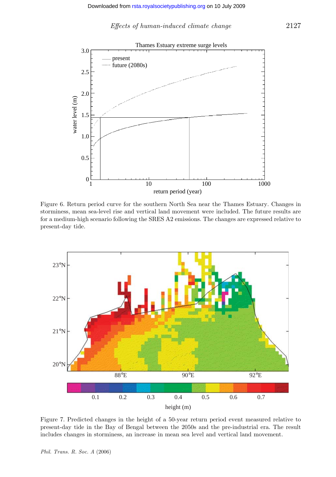

<span id="page-11-0"></span>

Figure 6. Return period curve for the southern North Sea near the Thames Estuary. Changes in storminess, mean sea-level rise and vertical land movement were included. The future results are for a medium-high scenario following the SRES A2 emissions. The changes are expressed relative to present-day tide.



Figure 7. Predicted changes in the height of a 50-year return period event measured relative to present-day tide in the Bay of Bengal between the 2050s and the pre-industrial era. The result includes changes in storminess, an increase in mean sea level and vertical land movement.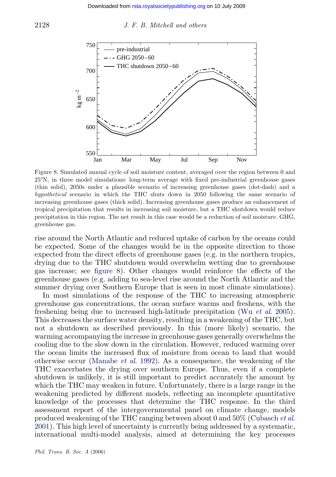

#### 2128 J. F. B. Mitchell and others

Figure 8. Simulated annual cycle of soil moisture content, averaged over the region between 0 and 258N, in three model simulations: long-term average with fixed pre-industrial greenhouse gases (thin solid), 2050s under a plausible scenario of increasing greenhouse gases (dot-dash) and a hypothetical scenario in which the THC shuts down in 2050 following the same scenario of increasing greenhouse gases (thick solid). Increasing greenhouse gases produce an enhancement of tropical precipitation that results in increasing soil moisture, but a THC shutdown would reduce precipitation in this region. The net result in this case would be a reduction of soil moisture. GHG, greenhouse gas.

rise around the North Atlantic and reduced uptake of carbon by the oceans could be expected. Some of the changes would be in the opposite [direction to thos](#page-17-0)e expected from the direct effects of greenhouse gases (e.g. in the northern tropics, drying due to the THC shutdown would overwhelm wetting due to greenhouse gas increase; see figure 8). Other changes would reinforce the effects of the greenhouse gases (e.g. adding to sea-level rise around the North Atlantic and the summer drying over Southern Europe that is seen in most climate simulations).

In most simul[ations of the respon](#page-16-0)se of the THC to increasing atmospheric greenhouse gas concentrations, the ocean surface warms and freshens, with the freshening being due to increased high-latitude precipitation (Wu et al. 2005). This decreases the surface water density, resulting in a weakening of the THC, but not a shutdown as described previously. In this (more likely) scenario, the warming accompanying the increase in greenhouse gases generally overwhelms the cooling due to the slow down in the circulation. However, reduced warming over the ocean limits the increased flux of moisture from ocean to la[nd that would](#page-15-0) [other](#page-15-0)wise occur (Manabe *et al.* 1992). As a consequence, the weakening of the THC exacerbates the drying over southern Europe. Thus, even if a complete shutdown is unlikely, it is still important to predict accurately the amount by which the THC may weaken in future. Unfortunately, there is a large range in the weakening predicted by different models, reflecting an incomplete quantitative knowledge of the processes that determine the THC response. In the third assessment report of the intergovernmental panel on climate change, models produced weakening of the THC ranging between about 0 and  $50\%$  (Cubasch *et al.*) 2001). This high level of uncertainty is currently being addressed by a systematic, international multi-model analysis, aimed at determining the key processes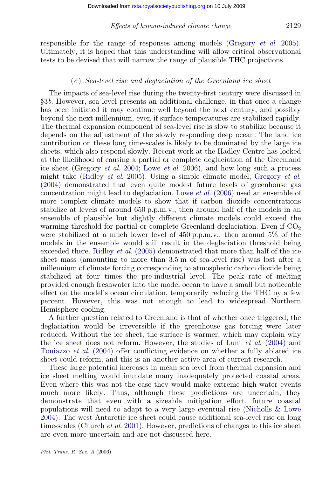$$
Effects\ of\ human-induced\ climate\ change
$$
 2129

responsible for the range of responses among models (Gregory et al. 2005). Ultimately, it is hoped that this understanding will allow critical observational tests to be devised that will narrow the range of plausible THC projections.

#### (c ) Sea-level rise and deglaciation of the Greenland ice sheet

The impacts of sea-level rise during the twenty-first century were discussed in §3b. Howe[ver, sea level presen](#page-15-0)t[s an additional ch](#page-16-0)allenge, in that once a change has been ini[tiated it may conti](#page-16-0)nue well beyond the next centur[y, and possibly](#page-15-0) [beyond](#page-15-0) the next millennium, even if surface temperatures are stabilized rapidly. The thermal expansion component of sea-level rise is slow to stabilize because it depends on the adjustment of the slowl[y](#page-16-0) [responding](#page-16-0) [deep](#page-16-0) ocean. The land ice contribution on these long time-scales is likely to be dominated by the large ice sheets, which also respond slowly. Recent work at the Hadley Centre has looked at the likelihood of causing a partial or complete deglaciation of the Greenland ice sheet (Gregory et al. 2004; Lowe et al. 2006), and how long such a process might take (Ridley *et al.* 2005). Using a simple climate model, Gregory *et al.* (2004) demonst[rated that even qu](#page-16-0)ite modest future levels of greenhouse gas concentration might lead to deglaciation. Lowe et al. (2006) used an ensemble of more complex climate models to show that if carbon dioxide concentrations stabilize at levels of around 650 p.p.m.v., then around half of the models in an ensemble of plausible but slightly different climate models could exceed the warming threshold for partial or complete Greenland deglaciation. Even if  $CO<sub>2</sub>$ were stabilized at a much lower level of 450 p.p.m.v., then around 5% of the models in the ensemble would still result in the deglaciation threshold being exceeded there. Ridley *et al.* (2005) demonstrated that more than half of the ice sheet mass (amounting to more than 3.5 m of sea-level rise) was lost after a millennium of climate forcing corresponding to atmospheric carbon dioxide being stabilized at four times the pre-industrial level. The [peak rate of mel](#page-16-0)ting [provided enough freshw](#page-17-0)ater into the model ocean to have a small but noticeable effect on the model's ocean circulation, temporarily reducing the THC by a few percent. However, this was not enough to lead to widespread Northern Hemisphere cooling.

A further question related to Greenland is that of whether once triggered, the deglaciation would be irreversible if the greenhouse gas forcing were later reduced. Without the ice sheet, the surface is warmer, which may explain why the ice sheet does not reform. However, the studies of Lunt  $et \ al. (2004)$  and [Toni](#page-16-0)azzo et al. (2004) offer conflicting evidence on whether a [fully](#page-16-0) [ablated](#page-16-0) [ice](#page-16-0) sheet could [reform, and this is](#page-15-0) an another active area of current research.

These large potential increases in mean sea level from thermal expansion and ice sheet melting would inundate many inadequately protected coastal areas. Even where this was not the case they would make extreme high water events much more likely. Thus, although these predictions are uncertain, they demonstrate that even with a sizeable mitigation effort, future coastal populations will need to adapt to a very large eventual rise (Nicholls & Lowe 2004). The west Antarctic ice sheet could cause additional sea-level rise on long time-scales (Church *et al.* 2001). However, predictions of changes to this ice sheet are even more uncertain and are not discussed here.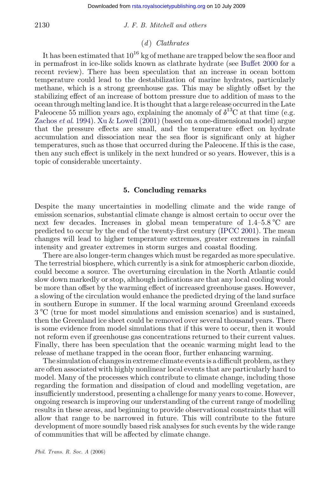#### 2130 J. F. B. Mitchell and others

## $(d)$  Clathrates

It has been estimated that  $10^{16}$  kg of methane are trapped below the sea floor and in permafrost in ice-like solids known as clathrate hydrate (see Buffet 2000 for a recent review). There has been speculation that an increase in ocean bottom temperature could lead to the destabilization of marine hydrates, particularly methane, which is a strong greenhouse gas. This may be slightly offset by the stabilizing effect of an increase of bottom pressure due to addition of mass to the ocean through melting land ice. It is thought that a large release occurred in the Late Paleocene 55 million years ago, explaining the anomaly of  $\delta^{13}$ C at that time (e.g. Zachos et al. 1994). Xu & Lowell (2001) (based on a one-dimensional model) argue that the pressure effects are small, and the temperature effect on hydrate accumulation and dissociation near the sea floor is significant only at higher temperatures, such as those that occurred during the Paleocene. If this is the case, then any such effect is unlikely in the next hundred or so years. However, this is a topic of considerable uncertainty.

## 5. Concluding remarks

Despite the many uncertainties in modelling climate and the wide range of emission scenarios, substantial climate change is almost certain to occur over the next few decades. Increases in global mean temperature of  $1.4-5.8\text{ °C}$  are predicted to occur by the end of the twenty-first century (IPCC 2001). The mean changes will lead to higher temperature extremes, greater extremes in rainfall intensity and greater extremes in storm surges and coastal flooding.

There are also longer-term changes which must be regarded as more speculative. The terrestrial biosphere, which currently is a sink for atmospheric carbon dioxide, could become a source. The overturning circulation in the North Atlantic could slow down markedly or stop, although indications are that any local cooling would be more than offset by the warming effect of increased greenhouse gases. However, a slowing of the circulation would enhance the predicted drying of the land surface in southern Europe in summer. If the local warming around Greenland exceeds 3 8C (true for most model simulations and emission scenarios) and is sustained, then the Greenland ice sheet could be removed over several thousand years. There is some evidence from model simulations that if this were to occur, then it would not reform even if greenhouse gas concentrations returned to their current values. Finally, there has been speculation that the oceanic warming might lead to the release of methane trapped in the ocean floor, further enhancing warming.

The simulation of changes in extreme climate events is a difficult problem, as they are often associated with highly nonlinear local events that are particularly hard to model. Many of the processes which contribute to climate change, including those regarding the formation and dissipation of cloud and modelling vegetation, are insufficiently understood, presenting a challenge for many years to come. However, ongoing research is improving our understanding of the current range of modelling results in these areas, and beginning to provide observational constraints that will allow that range to be narrowed in future. This will contribute to the future development of more soundly based risk analyses for such events by the wide range of communities that will be affected by climate change.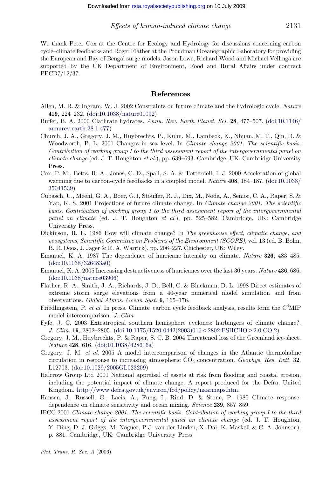<span id="page-15-0"></span>We thank Peter Cox at the Centre for Ecology and Hydrology for discussions concerning carbon cycle–climate feed[backs and Roger Flather a](http://dx.doi.org/doi:10.1038/nature01092)t the Proudman Oceanographic Laboratory for providing the European and Bay of Bengal surge models. Jason Lowe, Richard Wood and Michae[l Vellinga are](http://dx.doi.org/doi:10.1146/annurev.earth.28.1.477) su[pported by the UK D](http://dx.doi.org/doi:10.1146/annurev.earth.28.1.477)epartment of Environment, Food and Rural Affairs under contract PECD7/12/37.

### References

- Allen, M. R. & Ingram, W. J. 2002 Constraints on future climate and the hydrologic cycle. Nature 419, 224–232. (doi:10.1038/nature01092)
- Buffet, B. A. 2000 Clathrate hydrates. Annu. Rev. Earth Planet. Sci. 28, 477–507. [\(doi:10.1146/](http://dx.doi.org/doi:10.1038/35041539) [annurev.e](http://dx.doi.org/doi:10.1038/35041539)arth.28.1.477)
- Church, J. A., Gregory, J. M., Huybrechts, P., Kuhn, M., Lambeck, K., Nhuan, M. T., Qin, D. & Woodworth, P. L. 2001 Changes in sea level. In *Climate change 2001. The scientific basis*. Contribution of working group I to the third assessment report of the intergovernmental panel on climate change (ed. J. T. Houghton et al.), pp. 639–693. Cambridge, UK: Cambridge University Press.
- Cox, P. M., Betts, R. A., Jones, C. D., Spall, S. A. & Totterdell, I. J. 2000 Acceleration of global warming due to carbon-cycle feedbacks in a coupled model. Nature 408, 184–187. (doi:10.1038/ 35041539)
- Cubasch, U., Meehl, G. A., Boer, G.J, Stouffer, R. J., Dix, M., Noda, A., Senior, C. A., Raper, S. & [Yap,](http://dx.doi.org/doi:10.1038/326483a0) [K.](http://dx.doi.org/doi:10.1038/326483a0) [S.](http://dx.doi.org/doi:10.1038/326483a0) [2001](http://dx.doi.org/doi:10.1038/326483a0) [Proje](http://dx.doi.org/doi:10.1038/326483a0)ctions of future climate change. In *Climate change 2001*. The scientific basis. Contribution of working group 1 to the third assessment report of the intergovernmental [panel](http://dx.doi.org/doi:10.1038/nature03906) [on](http://dx.doi.org/doi:10.1038/nature03906) [climate](http://dx.doi.org/doi:10.1038/nature03906) (ed. J. T. Houghton et al.), pp. 525–582. Cambridge, UK: Cambridge University Press.
- Dickinson, R. E. 1986 How will climate change? In The greenhouse effect, climatic change, and ecosystems, Scientific Committee on Problems of the Environment (SCOPE), vol. 13 (ed. B. Bolin, B. R. Doos, J. Jager & R. A. Warrick), pp. 206–227. Chichester, UK: Wiley.
- Emanuel, K. A. 1987 The dependence of hurricane intensity on climate. Nature 326, 483–485. (doi:10.1038/326483a0)
- Emanuel, K. A. 2005 Increas[ing](http://dx.doi.org/doi:10.1175/1520-0442(2003)016%3C2802:ESHCHO%3E2.0.CO;2) [destructiveness](http://dx.doi.org/doi:10.1175/1520-0442(2003)016%3C2802:ESHCHO%3E2.0.CO;2) [of](http://dx.doi.org/doi:10.1175/1520-0442(2003)016%3C2802:ESHCHO%3E2.0.CO;2) [hurricanes](http://dx.doi.org/doi:10.1175/1520-0442(2003)016%3C2802:ESHCHO%3E2.0.CO;2) [over](http://dx.doi.org/doi:10.1175/1520-0442(2003)016%3C2802:ESHCHO%3E2.0.CO;2) [the](http://dx.doi.org/doi:10.1175/1520-0442(2003)016%3C2802:ESHCHO%3E2.0.CO;2) [last](http://dx.doi.org/doi:10.1175/1520-0442(2003)016%3C2802:ESHCHO%3E2.0.CO;2) [30](http://dx.doi.org/doi:10.1175/1520-0442(2003)016%3C2802:ESHCHO%3E2.0.CO;2) [years.](http://dx.doi.org/doi:10.1175/1520-0442(2003)016%3C2802:ESHCHO%3E2.0.CO;2) Nature 436, 686. (doi:10.1038/nature03906)
- Flather, R. A., Smit[h,](http://dx.doi.org/doi:10.1038/428616a) [J.](http://dx.doi.org/doi:10.1038/428616a) [A.,](http://dx.doi.org/doi:10.1038/428616a) [Richards,](http://dx.doi.org/doi:10.1038/428616a) [J.](http://dx.doi.org/doi:10.1038/428616a) D., Bell, C. & Blackman, D. L. 1998 Direct estimates of extreme storm surge elevations from a 40-year numerical model simulation and from observations. Global Atmos. Ocean Syst. 6, 165–176.
- Friedlingstein, P[.](http://dx.doi.org/doi:10.1029/2005GL023209) et al. [In](http://dx.doi.org/doi:10.1029/2005GL023209) [press.](http://dx.doi.org/doi:10.1029/2005GL023209) [Climat](http://dx.doi.org/doi:10.1029/2005GL023209)e–carbon cycle feedback analysis, results form the  $C^4MIP$ model intercomparison. J. Clim.
- Fyfe, J. C. 2003 Extratropical southern hemisphere cyclones: harbingers of climate change?. J. Clim. 16[,](http://www.defra.gov.uk/environ/fcd/policy/naarmaps.htm) 2802-2805. [\(doi:10.1175/1520-0442\(2003\)016](http://www.defra.gov.uk/environ/fcd/policy/naarmaps.htm) < 2802: ESHCHO > 2.0.CO;2)
- Gregory, J. M., Huybrechts, P. & Raper, S. C. B. 2004 Threatened loss of the Greenland ice-sheet. Nature 428, 616. (doi:10.1038/428616a)
- Gregory, J. M. et al. 2005 A model intercomparison of changes in the Atlantic thermohaline circulation in response to increasing atmospheric  $CO<sub>2</sub>$  concentration. Geophys. Res. Lett. 32, L12703. (doi:10.1029/2005GL023209)
- Halcrow Group Ltd 2001 National appraisal of assets at risk from flooding and coastal erosion, including the potential impact of climate change. A report produced for the Defra, United Kingdom. http://www.defra.gov.uk/environ/fcd/policy/naarmaps.htm.
- Hansen, J., Russell, G., Lacis, A., Fung, I., Rind, D. & Stone, P. 1985 Climate response: dependence on climate sensitivity and ocean mixing. Science 239, 857–859.
- IPCC 2001 Climate change 2001. The scientific basis. Contribution of working group I to the third assessment report of the intergovernmental panel on climate change (ed. J. T. Houghton, Y. Ding, D. J. Griggs, M. Noguer, P.J. van der Linden, X. Dai, K. Maskell & C. A. Johnson), p. 881. Cambridge, UK: Cambridge University Press.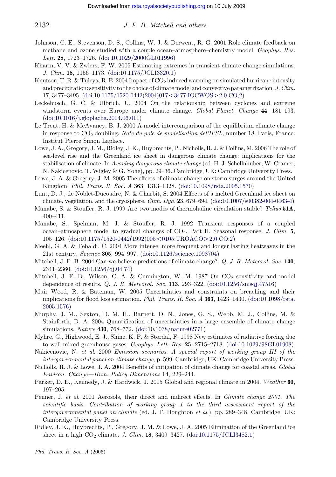- <span id="page-16-0"></span>Johnson, C. E., Stevenson, D. S., Collins, W. J. & Derwent, R. G. 2001 Role climate feedback on methane and ozone studied with a couple ocean–atmosphere–chemistry model. Geophys. Res. Lett. 28[,](http://dx.doi.org/doi:10.1016/j.gloplacha.2004.06.011) [1723–1726.](http://dx.doi.org/doi:10.1016/j.gloplacha.2004.06.011) [\(doi:10.1029/20](http://dx.doi.org/doi:10.1016/j.gloplacha.2004.06.011)00GL011996)
- Kharin, V. V. & Zwiers, F. W. 2005 Estimating extremes in transient climate change simulations. J. Clim. 18, 1156–1173. (doi:10.1175/JCLI3320.1)
- Knutson, T. R. & Tuleya, R. E. 2004 Impact of  $CO_2$  induced warming on simulated hurricane intensity and precipitation: sensitivity to the choice of climate model and convective parametrization. J. Clim. 17, 3477–3495. (doi:10.1175/1520-0442(2004)017 < 3477:IOCWOS > 2.0.CO;2)
- Leckebusch, G. C. & Ulbrich, U. 2004 On the relationship between cyclones and extreme windstorm events over Europe under climate change. Global Planet. Change 44, 181–193. (doi:10.1016/j.gloplacha.2004.06.011)
- Le Treut, H. & McAvaney, B. J. 2000 A model interco[mparison](http://dx.doi.org/doi:10.1098/rsta.2005.1570) [of](http://dx.doi.org/doi:10.1098/rsta.2005.1570) [the](http://dx.doi.org/doi:10.1098/rsta.2005.1570) [equilibrium](http://dx.doi.org/doi:10.1098/rsta.2005.1570) climate change in response to  $CO<sub>2</sub>$  doubling. Note du pole de modelisation del'IPSL[, number 18. Paris, France](http://dx.doi.org/doi:10.1007/s00382-004-0463-4): Institut Pierre Simon Laplace.
- Lowe, J. A., Gregory, J. M., Ridley, J. K., Huybrechts, P., Nicholls, R. J. & Collins, M. 2006 The role of sea-level rise and the Greenland ice sheet in dangerous climate change: implications for the stabilisation of climate. In Avoiding dangerous climate change (ed. H. J. Schellnhuber, W. Cramer, N. Nakicenovic, T. Wigley & G. Yohe), pp. 29–36. Cambridge, UK: Cambridge University Press.
- Lowe, J. A. [&](http://dx.doi.org/doi:10.1175/1520-0442(1992)005%3C0105:TROACO%3E2.0.CO;2) [Gregory,](http://dx.doi.org/doi:10.1175/1520-0442(1992)005%3C0105:TROACO%3E2.0.CO;2) [J.](http://dx.doi.org/doi:10.1175/1520-0442(1992)005%3C0105:TROACO%3E2.0.CO;2) [M.](http://dx.doi.org/doi:10.1175/1520-0442(1992)005%3C0105:TROACO%3E2.0.CO;2) [2005](http://dx.doi.org/doi:10.1175/1520-0442(1992)005%3C0105:TROACO%3E2.0.CO;2) [The](http://dx.doi.org/doi:10.1175/1520-0442(1992)005%3C0105:TROACO%3E2.0.CO;2) [effects](http://dx.doi.org/doi:10.1175/1520-0442(1992)005%3C0105:TROACO%3E2.0.CO;2) [of](http://dx.doi.org/doi:10.1175/1520-0442(1992)005%3C0105:TROACO%3E2.0.CO;2) [climate](http://dx.doi.org/doi:10.1175/1520-0442(1992)005%3C0105:TROACO%3E2.0.CO;2) [change](http://dx.doi.org/doi:10.1175/1520-0442(1992)005%3C0105:TROACO%3E2.0.CO;2) [on](http://dx.doi.org/doi:10.1175/1520-0442(1992)005%3C0105:TROACO%3E2.0.CO;2) [storm](http://dx.doi.org/doi:10.1175/1520-0442(1992)005%3C0105:TROACO%3E2.0.CO;2) [su](http://dx.doi.org/doi:10.1175/1520-0442(1992)005%3C0105:TROACO%3E2.0.CO;2)rges around the United Kingdom. Phil. Trans. R. Soc. A 363, 1313-1328. (doi:10.1098/rsta.2005.1570)
- Lunt, D. J., de Noblet-Ducoudre, N. & [Charbit,](http://dx.doi.org/doi:10.1126/science.1098704) [S.](http://dx.doi.org/doi:10.1126/science.1098704) [2004](http://dx.doi.org/doi:10.1126/science.1098704) [Effects](http://dx.doi.org/doi:10.1126/science.1098704) [of](http://dx.doi.org/doi:10.1126/science.1098704) [a](http://dx.doi.org/doi:10.1126/science.1098704) [m](http://dx.doi.org/doi:10.1126/science.1098704)elted Greenland ice sheet on climate, vegetation, and the cryosphere. *Clim. Dyn.* **23**, 679–694. (doi:10.1007/s00382-004-0463-4)
- Manabe, S. & [Stouffer,](http://dx.doi.org/doi:10.1256/qj.04.74) [R.](http://dx.doi.org/doi:10.1256/qj.04.74) [J.](http://dx.doi.org/doi:10.1256/qj.04.74) [1999](http://dx.doi.org/doi:10.1256/qj.04.74) [A](http://dx.doi.org/doi:10.1256/qj.04.74)re two modes of thermohaline circulation stable? Tellus 51A, 400–411.
- Manabe, S., Spelman, M. J. & Stouffer, R. J. 1992 Tra[nsient](http://dx.doi.org/doi:10.1256/smsqj.47516) [responses](http://dx.doi.org/doi:10.1256/smsqj.47516) [of](http://dx.doi.org/doi:10.1256/smsqj.47516) [a](http://dx.doi.org/doi:10.1256/smsqj.47516) coupled ocean–atmosphere model to gradual changes of  $CO<sub>2</sub>$ . Part II. Seasonal response. [J. Clim.](http://dx.doi.org/doi:10.1098/rsta.2005.1576) 5,  $105-126.$  (doi:10.1175/1520-0442(1992)005 < 0105:TROACO > 2.0.CO;2)
- M[eehl,](http://dx.doi.org/doi:10.1098/rsta.2005.1576) [G.](http://dx.doi.org/doi:10.1098/rsta.2005.1576) [A.](http://dx.doi.org/doi:10.1098/rsta.2005.1576) & Tebaldi, C. 2004 More intense, more frequent and longer lasting heatwaves in the 21st century. Science 305, 994–997. (doi:10.1126/science.1098704)
- Mitchell, J. F. B. 2004 Can we believe [predictions of climate cha](http://dx.doi.org/doi:10.1038/nature02771)nge?. Q. J. R. Meteorol. Soc. 130, 2341–2360. (doi:10.1256/qj.04.74)
- Mitchell, J. F. B., Wilson, C. A. & Cunnington, W. M. 1987 On  $CO_2$  sensitivity and model dependence of results. Q. J. R. Meteorol. Soc. 113, 293–322. (doi:10.[1256/smsqj.47516\)](http://dx.doi.org/doi:10.1029/98GL01908)
- Muir Wood, R. & Bateman, W. 2005 Uncertainties and constraints on breaching and their implications for flood loss estimation. Phil. Trans. R. Soc. A 363, 1423–1430. (doi:10.1098/rsta. 2005.1576)
- Murphy, J. M., Sexton, D. M. H., Barnett, D. N., Jones, G. S., Webb, M. J., Collins, M. & Stainforth, D. A. 2004 Quantification of uncertainties in a large ensemble of climate change simulations. Nature 430, 768–772.  $(doi:10.1038/nature02771)$
- Myhre, G., Highwood, E. J., Shine, K. P. & Stordal, F. 1998 New estimates of radiative forcing due to well mixed greenhouse gases.  $Geophys. Lett. Res. 25, 2715-2718. (doi:10.1029/98GL01908)$
- Nakicenovic, N. et al. 2000 Emission scenarios. A special report of working group III of the intergovernmental panel on climate change, p. 599. Cambridge, UK: Cambridge University Press.
- Nicholls, R. J. & Lowe, J. A. 2004 Benefits of mitigation o[f climate change for coast](http://dx.doi.org/doi:10.1175/JCLI3482.1)al areas. Global Environ. Change—Hum. Policy Dimensions 14, 229–244.
- Parker, D. E., Kennedy, J. & Hardwick, J. 2005 Global and regional climate in 2004. Weather 60, 197–205.
- Penner, J. et al. 2001 Aerosols, their direct and indirect effects. In *Climate change 2001*. The scientific basis. Contribution of working group 1 to the third assessment report of the intergovernmental panel on climate (ed. J. T. Houghton et al.), pp. 289–348. Cambridge, UK: Cambridge University Press.
- Ridley, J. K., Huybrechts, P., Gregory, J. M. & Lowe, J. A. 2005 Elimination of the Greenland ice sheet in a high  $CO_2$  climate. J. Clim. 18, 3409–3427. (doi:10.1175/JCLI3482.1)